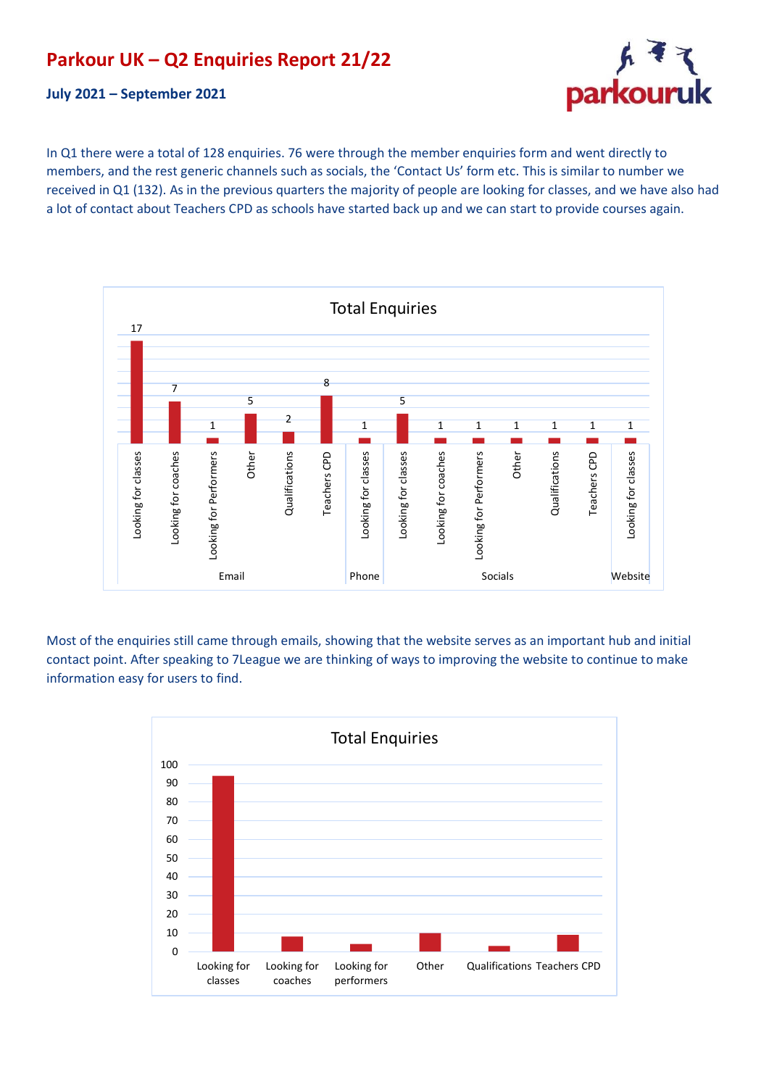## **Parkour UK – Q2 Enquiries Report 21/22**





In Q1 there were a total of 128 enquiries. 76 were through the member enquiries form and went directly to members, and the rest generic channels such as socials, the 'Contact Us' form etc. This is similar to number we received in Q1 (132). As in the previous quarters the majority of people are looking for classes, and we have also had a lot of contact about Teachers CPD as schools have started back up and we can start to provide courses again.



Most of the enquiries still came through emails, showing that the website serves as an important hub and initial contact point. After speaking to 7League we are thinking of ways to improving the website to continue to make information easy for users to find.